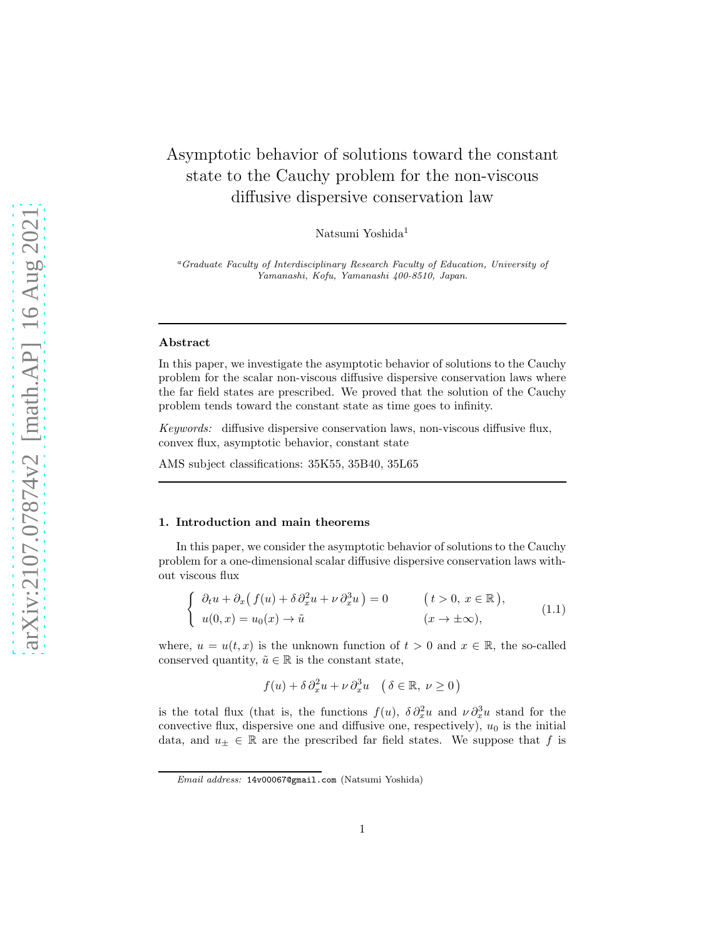# Asymptotic behavior of solutions toward the constant state to the Cauchy problem for the non-viscous diffusive dispersive conservation law

Natsumi Yoshida<sup>1</sup>

<sup>a</sup>*Graduate Faculty of Interdisciplinary Research Faculty of Education, University of Yamanashi, Kofu, Yamanashi 400-8510, Japan.*

#### Abstract

In this paper, we investigate the asymptotic behavior of solutions to the Cauchy problem for the scalar non-viscous diffusive dispersive conservation laws where the far field states are prescribed. We proved that the solution of the Cauchy problem tends toward the constant state as time goes to infinity.

Keywords: diffusive dispersive conservation laws, non-viscous diffusive flux, convex flux, asymptotic behavior, constant state

AMS subject classifications: 35K55, 35B40, 35L65

#### 1. Introduction and main theorems

In this paper, we consider the asymptotic behavior of solutions to the Cauchy problem for a one-dimensional scalar diffusive dispersive conservation laws without viscous flux

$$
\begin{cases}\n\partial_t u + \partial_x (f(u) + \delta \partial_x^2 u + \nu \partial_x^3 u) = 0 & (t > 0, x \in \mathbb{R}), \\
u(0, x) = u_0(x) \to \tilde{u} & (x \to \pm \infty),\n\end{cases}
$$
\n(1.1)

where,  $u = u(t, x)$  is the unknown function of  $t > 0$  and  $x \in \mathbb{R}$ , the so-called conserved quantity,  $\tilde{u} \in \mathbb{R}$  is the constant state,

$$
f(u) + \delta \partial_x^2 u + \nu \partial_x^3 u \quad \left( \delta \in \mathbb{R}, \ \nu \ge 0 \right)
$$

is the total flux (that is, the functions  $f(u)$ ,  $\delta \partial_x^2 u$  and  $\nu \partial_x^3 u$  stand for the convective flux, dispersive one and diffusive one, respectively),  $u_0$  is the initial data, and  $u_{\pm} \in \mathbb{R}$  are the prescribed far field states. We suppose that f is

*Email address:* 14v00067@gmail.com (Natsumi Yoshida)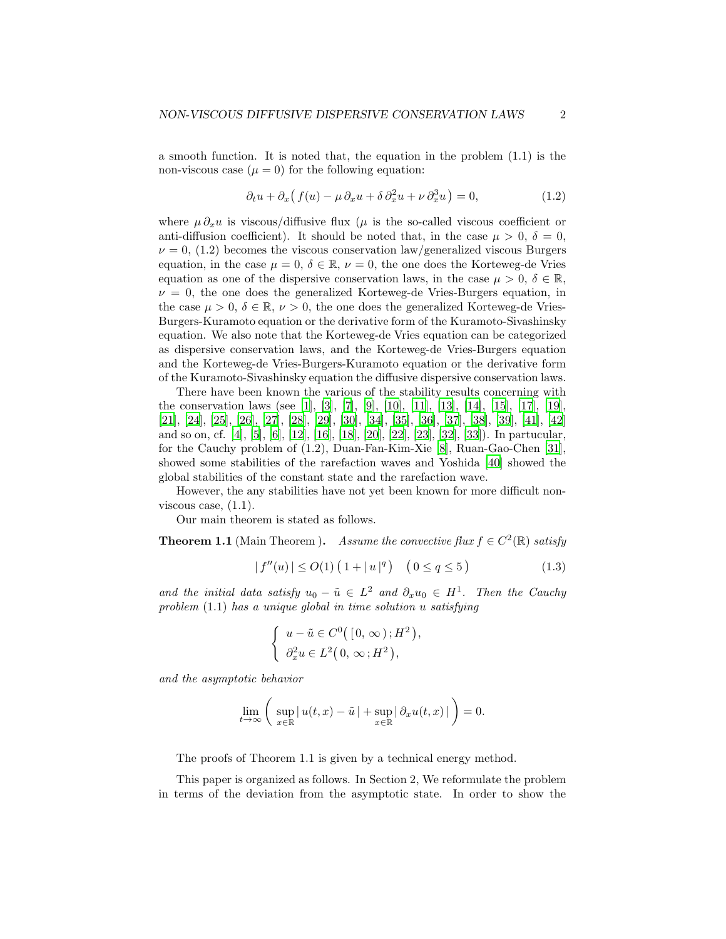a smooth function. It is noted that, the equation in the problem (1.1) is the non-viscous case  $(\mu = 0)$  for the following equation:

$$
\partial_t u + \partial_x \left( f(u) - \mu \partial_x u + \delta \partial_x^2 u + \nu \partial_x^3 u \right) = 0, \tag{1.2}
$$

where  $\mu \partial_x u$  is viscous/diffusive flux ( $\mu$  is the so-called viscous coefficient or anti-diffusion coefficient). It should be noted that, in the case  $\mu > 0$ ,  $\delta = 0$ ,  $\nu = 0$ , (1.2) becomes the viscous conservation law/generalized viscous Burgers equation, in the case  $\mu = 0, \delta \in \mathbb{R}, \nu = 0$ , the one does the Korteweg-de Vries equation as one of the dispersive conservation laws, in the case  $\mu > 0, \delta \in \mathbb{R}$ ,  $\nu = 0$ , the one does the generalized Korteweg-de Vries-Burgers equation, in the case  $\mu > 0$ ,  $\delta \in \mathbb{R}$ ,  $\nu > 0$ , the one does the generalized Korteweg-de Vries-Burgers-Kuramoto equation or the derivative form of the Kuramoto-Sivashinsky equation. We also note that the Korteweg-de Vries equation can be categorized as dispersive conservation laws, and the Korteweg-de Vries-Burgers equation and the Korteweg-de Vries-Burgers-Kuramoto equation or the derivative form of the Kuramoto-Sivashinsky equation the diffusive dispersive conservation laws.

There have been known the various of the stability results concerning with the conservation laws (see [\[1](#page-7-0)], [\[3\]](#page-7-1), [\[7](#page-8-0)], [\[9\]](#page-8-1), [\[10\]](#page-8-2), [\[11](#page-8-3)], [\[13\]](#page-8-4), [\[14](#page-8-5)], [\[15\]](#page-8-6), [\[17\]](#page-8-7), [\[19\]](#page-8-8), [\[21\]](#page-9-0), [\[24](#page-9-1)], [\[25](#page-9-2)], [\[26](#page-9-3)], [\[27\]](#page-9-4), [\[28\]](#page-9-5), [\[29\]](#page-9-6), [\[30\]](#page-9-7), [\[34\]](#page-10-0), [\[35\]](#page-10-1), [\[36](#page-10-2)], [\[37](#page-10-3)], [\[38](#page-10-4)], [\[39\]](#page-10-5), [\[41\]](#page-10-6), [\[42\]](#page-10-7) and so on, cf. [\[4\]](#page-7-2), [\[5\]](#page-7-3), [\[6\]](#page-8-9), [\[12\]](#page-8-10), [\[16](#page-8-11)], [\[18](#page-8-12)], [\[20](#page-9-8)], [\[22\]](#page-9-9), [\[23\]](#page-9-10), [\[32\]](#page-9-11), [\[33\]](#page-9-12)). In partucular, for the Cauchy problem of (1.2), Duan-Fan-Kim-Xie [\[8\]](#page-8-13), Ruan-Gao-Chen [\[31\]](#page-9-13), showed some stabilities of the rarefaction waves and Yoshida [\[40\]](#page-10-8) showed the global stabilities of the constant state and the rarefaction wave.

However, the any stabilities have not yet been known for more difficult nonviscous case,  $(1.1)$ .

Our main theorem is stated as follows.

**Theorem 1.1** (Main Theorem ). Assume the convective flux  $f \in C^2(\mathbb{R})$  satisfy

$$
|f''(u)| \le O(1) \left( 1 + |u|^q \right) \quad \left( 0 \le q \le 5 \right) \tag{1.3}
$$

,

and the initial data satisfy  $u_0 - \tilde{u} \in L^2$  and  $\partial_x u_0 \in H^1$ . Then the Cauchy problem (1.1) has a unique global in time solution u satisfying

$$
\begin{cases}\n u - \tilde{u} \in C^0([0, \infty); H^2) \\
 \partial_x^2 u \in L^2(0, \infty; H^2),\n\end{cases}
$$

and the asymptotic behavior

$$
\lim_{t \to \infty} \left( \sup_{x \in \mathbb{R}} |u(t,x) - \tilde{u}| + \sup_{x \in \mathbb{R}} |\partial_x u(t,x)| \right) = 0.
$$

The proofs of Theorem 1.1 is given by a technical energy method.

This paper is organized as follows. In Section 2, We reformulate the problem in terms of the deviation from the asymptotic state. In order to show the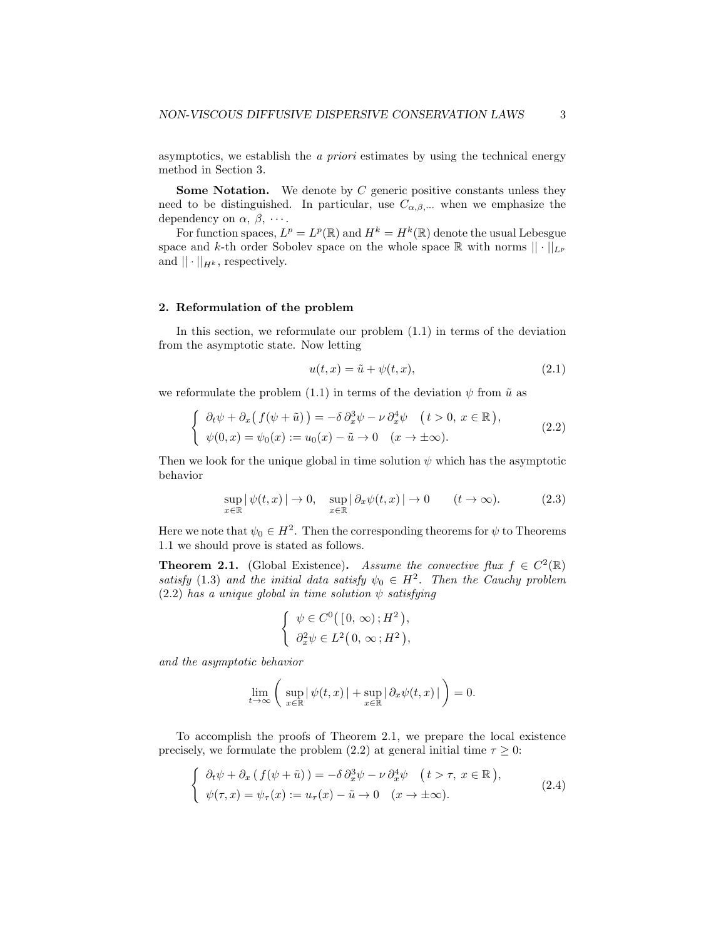asymptotics, we establish the a priori estimates by using the technical energy method in Section 3.

Some Notation. We denote by C generic positive constants unless they need to be distinguished. In particular, use  $C_{\alpha,\beta,\cdots}$  when we emphasize the dependency on  $\alpha$ ,  $\beta$ ,  $\dots$ .

For function spaces,  $L^p = L^p(\mathbb{R})$  and  $H^k = H^k(\mathbb{R})$  denote the usual Lebesgue space and k-th order Sobolev space on the whole space  $\mathbb R$  with norms  $|| \cdot ||_{L^p}$ and  $|| \cdot ||_{H^k}$ , respectively.

### 2. Reformulation of the problem

In this section, we reformulate our problem  $(1.1)$  in terms of the deviation from the asymptotic state. Now letting

$$
u(t,x) = \tilde{u} + \psi(t,x), \qquad (2.1)
$$

we reformulate the problem (1.1) in terms of the deviation  $\psi$  from  $\tilde{u}$  as

$$
\begin{cases}\n\partial_t \psi + \partial_x (f(\psi + \tilde{u})) = -\delta \partial_x^3 \psi - \nu \partial_x^4 \psi \quad (t > 0, \ x \in \mathbb{R}), \\
\psi(0, x) = \psi_0(x) := u_0(x) - \tilde{u} \to 0 \quad (x \to \pm \infty).\n\end{cases}
$$
\n(2.2)

Then we look for the unique global in time solution  $\psi$  which has the asymptotic behavior

$$
\sup_{x \in \mathbb{R}} |\psi(t, x)| \to 0, \quad \sup_{x \in \mathbb{R}} |\partial_x \psi(t, x)| \to 0 \qquad (t \to \infty).
$$
 (2.3)

Here we note that  $\psi_0 \in H^2$ . Then the corresponding theorems for  $\psi$  to Theorems 1.1 we should prove is stated as follows.

**Theorem 2.1.** (Global Existence). Assume the convective flux  $f \in C^2(\mathbb{R})$ satisfy (1.3) and the initial data satisfy  $\psi_0 \in H^2$ . Then the Cauchy problem (2.2) has a unique global in time solution  $\psi$  satisfying

$$
\begin{cases} \psi \in C^0([0,\infty);H^2), \\ \partial_x^2 \psi \in L^2(0,\infty;H^2), \end{cases}
$$

and the asymptotic behavior

$$
\lim_{t \to \infty} \left( \sup_{x \in \mathbb{R}} |\psi(t, x)| + \sup_{x \in \mathbb{R}} |\partial_x \psi(t, x)| \right) = 0.
$$

To accomplish the proofs of Theorem 2.1, we prepare the local existence precisely, we formulate the problem (2.2) at general initial time  $\tau \geq 0$ :

$$
\begin{cases}\n\partial_t \psi + \partial_x (f(\psi + \tilde{u})) = -\delta \partial_x^3 \psi - \nu \partial_x^4 \psi \quad (t > \tau, x \in \mathbb{R}), \\
\psi(\tau, x) = \psi_\tau(x) := u_\tau(x) - \tilde{u} \to 0 \quad (x \to \pm \infty).\n\end{cases}
$$
\n(2.4)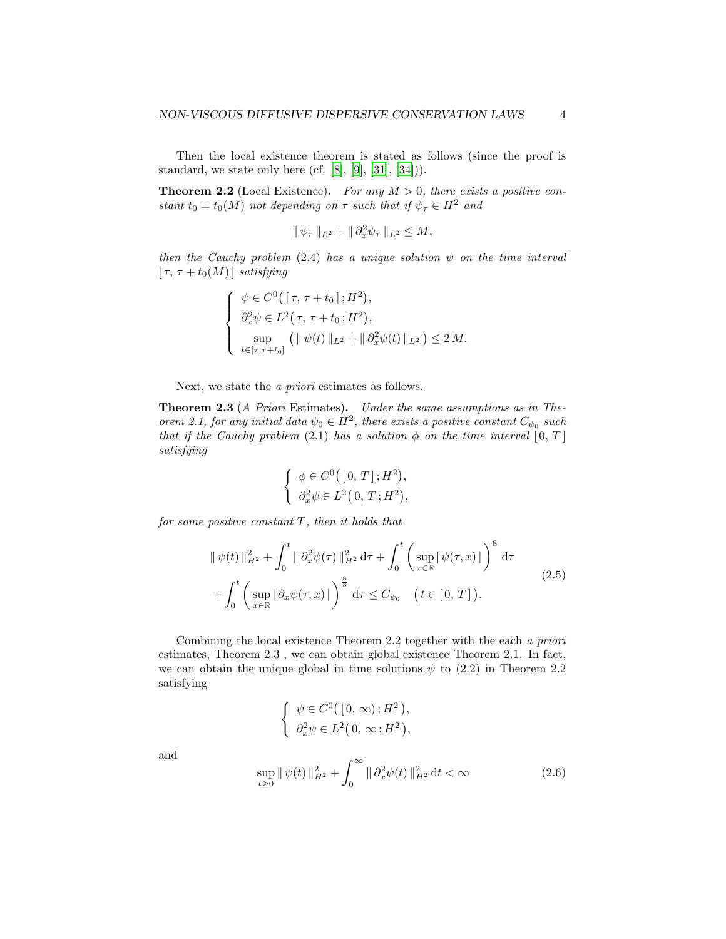Then the local existence theorem is stated as follows (since the proof is standard, we state only here (cf. [\[8\]](#page-8-13),  $[9]$ ,  $[31]$ ,  $[34]$ )).

**Theorem 2.2** (Local Existence). For any  $M > 0$ , there exists a positive constant  $t_0 = t_0(M)$  not depending on  $\tau$  such that if  $\psi_\tau \in H^2$  and

$$
\|\psi_{\tau}\|_{L^2} + \|\partial_x^2 \psi_{\tau}\|_{L^2} \le M,
$$

then the Cauchy problem (2.4) has a unique solution  $\psi$  on the time interval  $[\tau, \tau + t_0(M)]$  satisfying

$$
\begin{cases}\n\psi \in C^{0}([ \tau, \tau + t_{0}]; H^{2}),\n\partial_{x}^{2} \psi \in L^{2}(\tau, \tau + t_{0}; H^{2}),\n\sup_{t \in [ \tau, \tau + t_{0}]} ( \| \psi(t) \|_{L^{2}} + \| \partial_{x}^{2} \psi(t) \|_{L^{2}} ) \leq 2 M.\n\end{cases}
$$

Next, we state the a priori estimates as follows.

Theorem 2.3 (A Priori Estimates). Under the same assumptions as in Theorem 2.1, for any initial data  $\psi_0 \in H^2$ , there exists a positive constant  $C_{\psi_0}$  such that if the Cauchy problem (2.1) has a solution  $\phi$  on the time interval  $[0, T]$ satisfying

$$
\begin{cases} \phi \in C^0([0, T]; H^2), \\ \partial_x^2 \psi \in L^2(0, T; H^2), \end{cases}
$$

for some positive constant  $T$ , then it holds that

$$
\|\psi(t)\|_{H^2}^2 + \int_0^t \|\partial_x^2 \psi(\tau)\|_{H^2}^2 d\tau + \int_0^t \left(\sup_{x \in \mathbb{R}} |\psi(\tau, x)|\right)^8 d\tau + \int_0^t \left(\sup_{x \in \mathbb{R}} |\partial_x \psi(\tau, x)|\right)^{\frac{8}{3}} d\tau \le C_{\psi_0} \quad (t \in [0, T]).
$$
\n(2.5)

Combining the local existence Theorem 2.2 together with the each a priori estimates, Theorem 2.3 , we can obtain global existence Theorem 2.1. In fact, we can obtain the unique global in time solutions  $\psi$  to (2.2) in Theorem 2.2 satisfying

$$
\begin{cases} \psi \in C^0([0, \infty); H^2), \\ \partial_x^2 \psi \in L^2(0, \infty; H^2), \end{cases}
$$

and

$$
\sup_{t\geq 0} \|\psi(t)\|_{H^2}^2 + \int_0^\infty \|\partial_x^2 \psi(t)\|_{H^2}^2 \, \mathrm{d}t < \infty \tag{2.6}
$$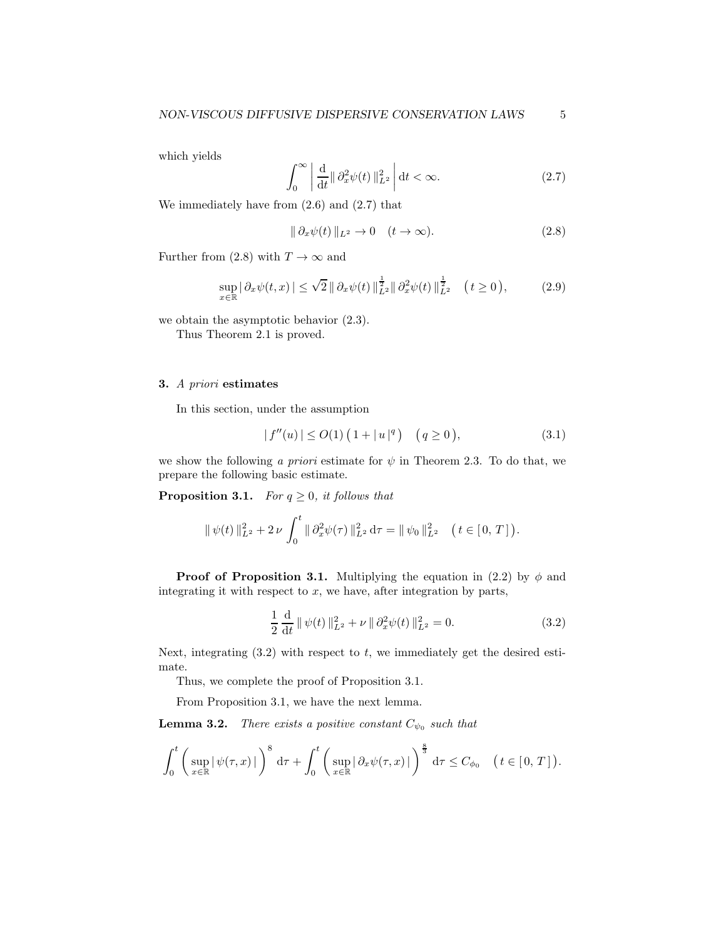which yields

$$
\int_0^\infty \left| \frac{\mathrm{d}}{\mathrm{d}t} \|\partial_x^2 \psi(t)\|_{L^2}^2 \right| \mathrm{d}t < \infty. \tag{2.7}
$$

We immediately have from  $(2.6)$  and  $(2.7)$  that

$$
\|\partial_x \psi(t)\|_{L^2} \to 0 \quad (t \to \infty). \tag{2.8}
$$

Further from (2.8) with  $T \to \infty$  and

$$
\sup_{x \in \mathbb{R}} |\partial_x \psi(t, x)| \le \sqrt{2} \|\partial_x \psi(t)\|_{L^2}^{\frac{1}{2}} \|\partial_x^2 \psi(t)\|_{L^2}^{\frac{1}{2}} \quad (t \ge 0), \tag{2.9}
$$

we obtain the asymptotic behavior (2.3).

Thus Theorem 2.1 is proved.

# 3. A priori estimates

In this section, under the assumption

$$
|f''(u)| \le O(1) \left( 1 + |u|^q \right) \quad (q \ge 0), \tag{3.1}
$$

we show the following a priori estimate for  $\psi$  in Theorem 2.3. To do that, we prepare the following basic estimate.

**Proposition 3.1.** For  $q \geq 0$ , it follows that

$$
\|\psi(t)\|_{L^2}^2 + 2\nu \int_0^t \|\partial_x^2 \psi(\tau)\|_{L^2}^2 d\tau = \|\psi_0\|_{L^2}^2 \quad (t \in [0, T]).
$$

**Proof of Proposition 3.1.** Multiplying the equation in (2.2) by  $\phi$  and integrating it with respect to  $x$ , we have, after integration by parts,

$$
\frac{1}{2} \frac{d}{dt} \|\psi(t)\|_{L^2}^2 + \nu \|\partial_x^2 \psi(t)\|_{L^2}^2 = 0.
$$
 (3.2)

Next, integrating  $(3.2)$  with respect to t, we immediately get the desired estimate.

Thus, we complete the proof of Proposition 3.1.

From Proposition 3.1, we have the next lemma.

**Lemma 3.2.** There exists a positive constant  $C_{\psi_0}$  such that

$$
\int_0^t \left( \sup_{x \in \mathbb{R}} |\psi(\tau, x)| \right)^8 d\tau + \int_0^t \left( \sup_{x \in \mathbb{R}} |\partial_x \psi(\tau, x)| \right)^{\frac{8}{3}} d\tau \le C_{\phi_0} \quad (t \in [0, T]).
$$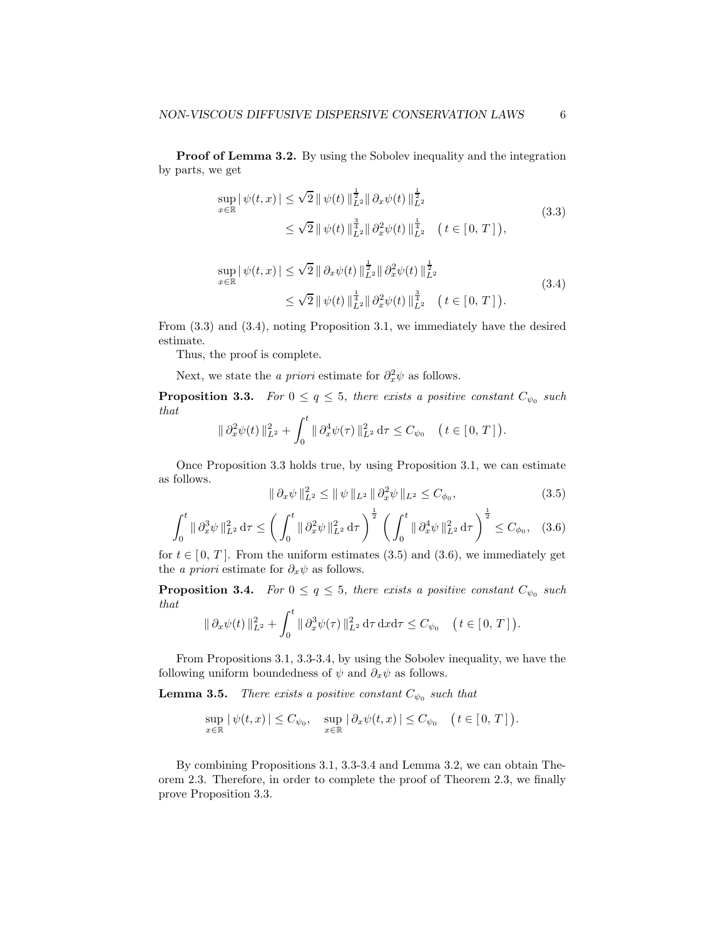Proof of Lemma 3.2. By using the Sobolev inequality and the integration by parts, we get

$$
\sup_{x \in \mathbb{R}} |\psi(t, x)| \leq \sqrt{2} ||\psi(t)||_{L^{2}}^{\frac{1}{2}} ||\partial_{x}\psi(t)||_{L^{2}}^{\frac{1}{2}}
$$
\n
$$
\leq \sqrt{2} ||\psi(t)||_{L^{2}}^{\frac{3}{4}} ||\partial_{x}^{2}\psi(t)||_{L^{2}}^{\frac{1}{4}} \quad (t \in [0, T]),
$$
\n(3.3)

$$
\sup_{x \in \mathbb{R}} |\psi(t, x)| \leq \sqrt{2} || \partial_x \psi(t) ||_{L^2}^{\frac{1}{2}} || \partial_x^2 \psi(t) ||_{L^2}^{\frac{1}{2}} \n\leq \sqrt{2} || \psi(t) ||_{L^2}^{\frac{1}{4}} || \partial_x^2 \psi(t) ||_{L^2}^{\frac{3}{4}} \quad (t \in [0, T]).
$$
\n(3.4)

From (3.3) and (3.4), noting Proposition 3.1, we immediately have the desired estimate.

Thus, the proof is complete.

Next, we state the *a priori* estimate for  $\partial_x^2 \psi$  as follows.

**Proposition 3.3.** For  $0 \le q \le 5$ , there exists a positive constant  $C_{\psi_0}$  such that

$$
\|\partial_x^2 \psi(t)\|_{L^2}^2 + \int_0^t \|\partial_x^4 \psi(\tau)\|_{L^2}^2 d\tau \leq C_{\psi_0} \quad (t \in [0, T]).
$$

Once Proposition 3.3 holds true, by using Proposition 3.1, we can estimate as follows.

$$
\|\partial_x \psi\|_{L^2}^2 \le \|\psi\|_{L^2} \|\partial_x^2 \psi\|_{L^2} \le C_{\phi_0},
$$
\n(3.5)

$$
\int_0^t \|\partial_x^3 \psi\|_{L^2}^2 d\tau \le \left(\int_0^t \|\partial_x^2 \psi\|_{L^2}^2 d\tau\right)^{\frac{1}{2}} \left(\int_0^t \|\partial_x^4 \psi\|_{L^2}^2 d\tau\right)^{\frac{1}{2}} \le C_{\phi_0}, \quad (3.6)
$$

for  $t \in [0, T]$ . From the uniform estimates (3.5) and (3.6), we immediately get the *a priori* estimate for  $\partial_x \psi$  as follows.

**Proposition 3.4.** For  $0 \le q \le 5$ , there exists a positive constant  $C_{\psi_0}$  such that

$$
\|\partial_x \psi(t)\|_{L^2}^2 + \int_0^t \|\partial_x^3 \psi(\tau)\|_{L^2}^2 d\tau dxd\tau \leq C_{\psi_0} \quad (t \in [0, T]).
$$

From Propositions 3.1, 3.3-3.4, by using the Sobolev inequality, we have the following uniform boundedness of  $\psi$  and  $\partial_x \psi$  as follows.

**Lemma 3.5.** There exists a positive constant  $C_{\psi_0}$  such that

$$
\sup_{x\in\mathbb{R}}|\psi(t,x)|\leq C_{\psi_0}, \quad \sup_{x\in\mathbb{R}}|\partial_x\psi(t,x)|\leq C_{\psi_0} \quad \big(\,t\in[0,T]\,\big).
$$

By combining Propositions 3.1, 3.3-3.4 and Lemma 3.2, we can obtain Theorem 2.3. Therefore, in order to complete the proof of Theorem 2.3, we finally prove Proposition 3.3.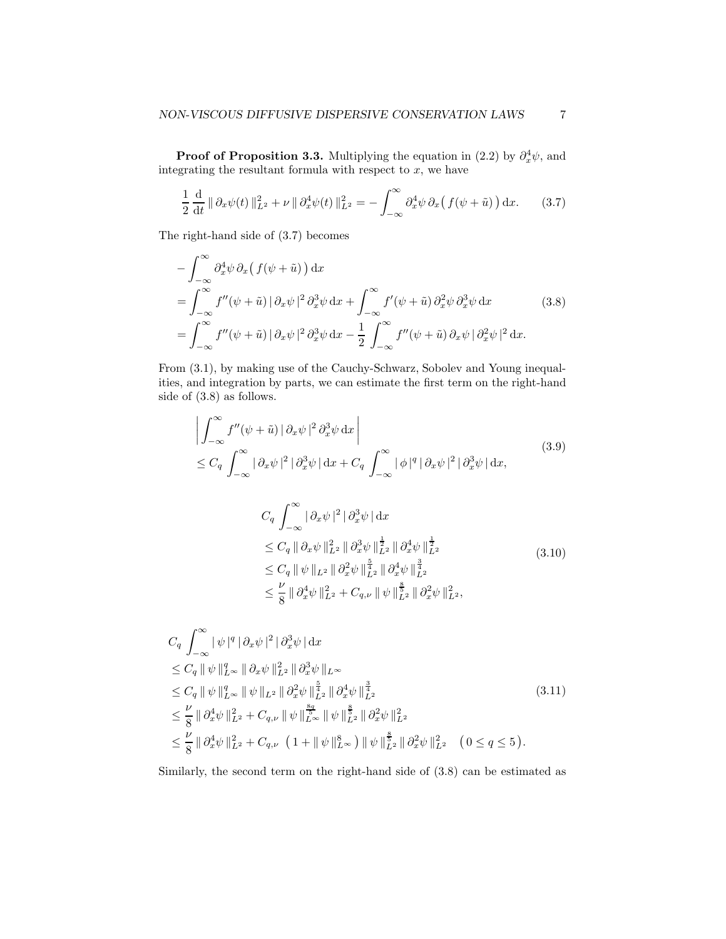**Proof of Proposition 3.3.** Multiplying the equation in  $(2.2)$  by  $\partial_x^4 \psi$ , and integrating the resultant formula with respect to  $x$ , we have

$$
\frac{1}{2}\frac{\mathrm{d}}{\mathrm{d}t} \|\partial_x\psi(t)\|_{L^2}^2 + \nu \|\partial_x^4\psi(t)\|_{L^2}^2 = -\int_{-\infty}^{\infty} \partial_x^4\psi \,\partial_x\big(f(\psi+\tilde{u})\big) \,\mathrm{d}x. \tag{3.7}
$$

The right-hand side of (3.7) becomes

$$
-\int_{-\infty}^{\infty} \partial_x^4 \psi \, \partial_x \left( f(\psi + \tilde{u}) \right) dx
$$
  
= 
$$
\int_{-\infty}^{\infty} f''(\psi + \tilde{u}) \left| \partial_x \psi \right|^2 \partial_x^3 \psi \, dx + \int_{-\infty}^{\infty} f'(\psi + \tilde{u}) \partial_x^2 \psi \partial_x^3 \psi \, dx
$$
 (3.8)  
= 
$$
\int_{-\infty}^{\infty} f''(\psi + \tilde{u}) \left| \partial_x \psi \right|^2 \partial_x^3 \psi \, dx - \frac{1}{2} \int_{-\infty}^{\infty} f''(\psi + \tilde{u}) \partial_x \psi \left| \partial_x^2 \psi \right|^2 dx.
$$

From (3.1), by making use of the Cauchy-Schwarz, Sobolev and Young inequalities, and integration by parts, we can estimate the first term on the right-hand side of (3.8) as follows.

$$
\left| \int_{-\infty}^{\infty} f''(\psi + \tilde{u}) \left| \partial_x \psi \right|^2 \partial_x^3 \psi \, dx \right|
$$
\n
$$
\leq C_q \int_{-\infty}^{\infty} \left| \partial_x \psi \right|^2 \left| \partial_x^3 \psi \right| dx + C_q \int_{-\infty}^{\infty} \left| \phi \right|^q \left| \partial_x \psi \right|^2 \left| \partial_x^3 \psi \right| dx,
$$
\n
$$
C_q \int_{-\infty}^{\infty} \left| \partial_x \psi \right|^2 \left| \partial_x^3 \psi \right| dx
$$
\n
$$
\leq C_q \left\| \partial_x \psi \right\|_{L^2}^2 \left\| \partial_x^3 \psi \right\|_{L^2}^{\frac{1}{2}} \left\| \partial_x^4 \psi \right\|_{L^2}^{\frac{1}{2}}
$$
\n
$$
\leq C_q \left\| \psi \right\|_{L^2} \left\| \partial_x^2 \psi \right\|_{L^2}^{\frac{5}{4}} \left\| \partial_x^4 \psi \right\|_{L^2}^{\frac{3}{4}} \right] \tag{3.10}
$$
\n
$$
\leq \frac{\nu}{8} \left\| \partial_x^4 \psi \right\|_{L^2}^2 + C_{q,\nu} \left\| \psi \right\|_{L^2}^{\frac{5}{8}} \left\| \partial_x^2 \psi \right\|_{L^2}^2,
$$

$$
C_q \int_{-\infty}^{\infty} |\psi|^q |\partial_x \psi|^2 |\partial_x^3 \psi| dx
$$
  
\n
$$
\leq C_q \|\psi\|_{L^{\infty}}^q \|\partial_x \psi\|_{L^2}^2 \|\partial_x^3 \psi\|_{L^{\infty}}
$$
  
\n
$$
\leq C_q \|\psi\|_{L^{\infty}}^q \|\psi\|_{L^2}^q \|\partial_x^2 \psi\|_{L^2}^{\frac{5}{4}} \|\partial_x^4 \psi\|_{L^2}^{\frac{3}{4}}
$$
  
\n
$$
\leq \frac{\nu}{8} \|\partial_x^4 \psi\|_{L^2}^2 + C_{q,\nu} \|\psi\|_{L^{\infty}}^{\frac{8q}{5}} \|\psi\|_{L^2}^{\frac{8}{5}} \|\partial_x^2 \psi\|_{L^2}^2
$$
  
\n
$$
\leq \frac{\nu}{8} \|\partial_x^4 \psi\|_{L^2}^2 + C_{q,\nu} (1 + \|\psi\|_{L^{\infty}}^8) \|\psi\|_{L^2}^{\frac{8}{5}} \|\partial_x^2 \psi\|_{L^2}^2 (0 \leq q \leq 5).
$$
 (3.11)

Similarly, the second term on the right-hand side of (3.8) can be estimated as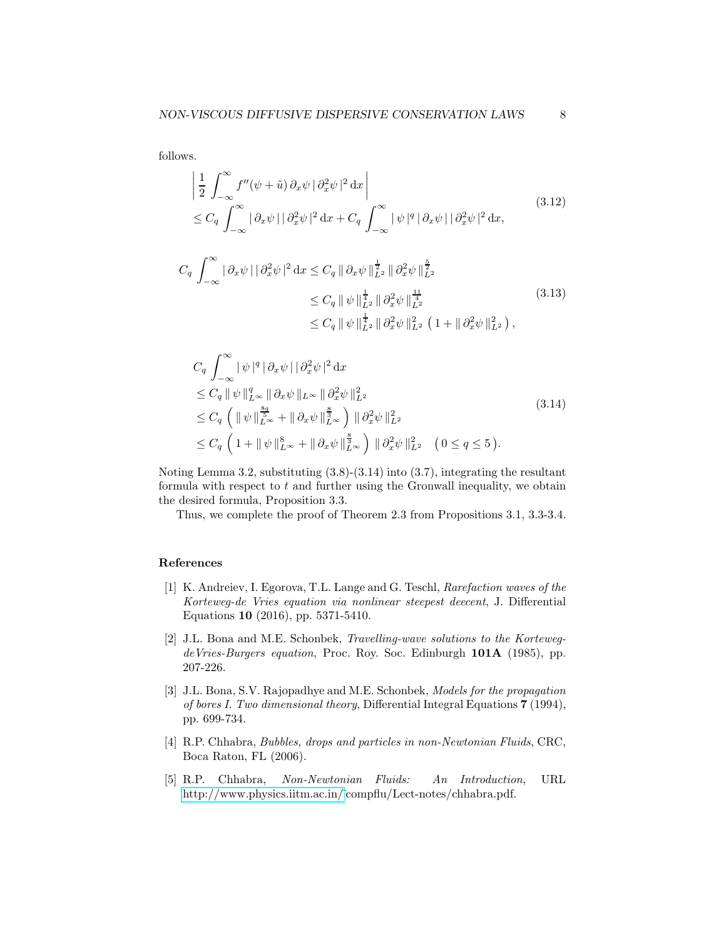follows.

$$
\left| \frac{1}{2} \int_{-\infty}^{\infty} f''(\psi + \tilde{u}) \, \partial_x \psi \, |\partial_x^2 \psi|^2 \, dx \right|
$$
\n
$$
\leq C_q \int_{-\infty}^{\infty} |\partial_x \psi| |\partial_x^2 \psi|^2 \, dx + C_q \int_{-\infty}^{\infty} |\psi|^q |\partial_x \psi| |\partial_x^2 \psi|^2 \, dx,
$$
\n(3.12)

$$
C_q \int_{-\infty}^{\infty} |\partial_x \psi| |\partial_x^2 \psi|^2 dx \le C_q \|\partial_x \psi\|_{L^2}^{\frac{1}{2}} \|\partial_x^2 \psi\|_{L^2}^{\frac{5}{2}} \n\le C_q \|\psi\|_{L^2}^{\frac{1}{4}} \|\partial_x^2 \psi\|_{L^2}^{\frac{11}{4}} \n\le C_q \|\psi\|_{L^2}^{\frac{1}{4}} \|\partial_x^2 \psi\|_{L^2}^{\frac{1}{4}} (1 + \|\partial_x^2 \psi\|_{L^2}^2),
$$
\n(3.13)

$$
C_q \int_{-\infty}^{\infty} |\psi|^q |\partial_x \psi| |\partial_x^2 \psi|^2 dx
$$
  
\n
$$
\leq C_q \|\psi\|_{L^{\infty}}^q \|\partial_x \psi\|_{L^{\infty}} \|\partial_x^2 \psi\|_{L^2}^2
$$
  
\n
$$
\leq C_q \left( \|\psi\|_{L^{\infty}}^{\frac{8q}{5}} + \|\partial_x \psi\|_{L^{\infty}}^{\frac{8}{3}} \right) \|\partial_x^2 \psi\|_{L^2}^2
$$
  
\n
$$
\leq C_q \left( 1 + \|\psi\|_{L^{\infty}}^8 + \|\partial_x \psi\|_{L^{\infty}}^{\frac{8}{3}} \right) \|\partial_x^2 \psi\|_{L^2}^2 \quad (0 \leq q \leq 5).
$$
\n(3.14)

Noting Lemma 3.2, substituting (3.8)-(3.14) into (3.7), integrating the resultant formula with respect to  $t$  and further using the Gronwall inequality, we obtain the desired formula, Proposition 3.3.

Thus, we complete the proof of Theorem 2.3 from Propositions 3.1, 3.3-3.4.

## References

- <span id="page-7-0"></span>[1] K. Andreiev, I. Egorova, T.L. Lange and G. Teschl, Rarefaction waves of the Korteweg-de Vries equation via nonlinear steepest deecent, J. Differential Equations 10 (2016), pp. 5371-5410.
- [2] J.L. Bona and M.E. Schonbek, Travelling-wave solutions to the KortewegdeVries-Burgers equation, Proc. Roy. Soc. Edinburgh 101A (1985), pp. 207-226.
- <span id="page-7-1"></span>[3] J.L. Bona, S.V. Rajopadhye and M.E. Schonbek, Models for the propagation of bores I. Two dimensional theory, Differential Integral Equations 7 (1994), pp. 699-734.
- <span id="page-7-2"></span>[4] R.P. Chhabra, Bubbles, drops and particles in non-Newtonian Fluids, CRC, Boca Raton, FL (2006).
- <span id="page-7-3"></span>[5] R.P. Chhabra, Non-Newtonian Fluids: An Introduction, URL [http://www.physics.iitm.ac.in/˜](http://www.physics.iitm.ac.in/)compflu/Lect-notes/chhabra.pdf.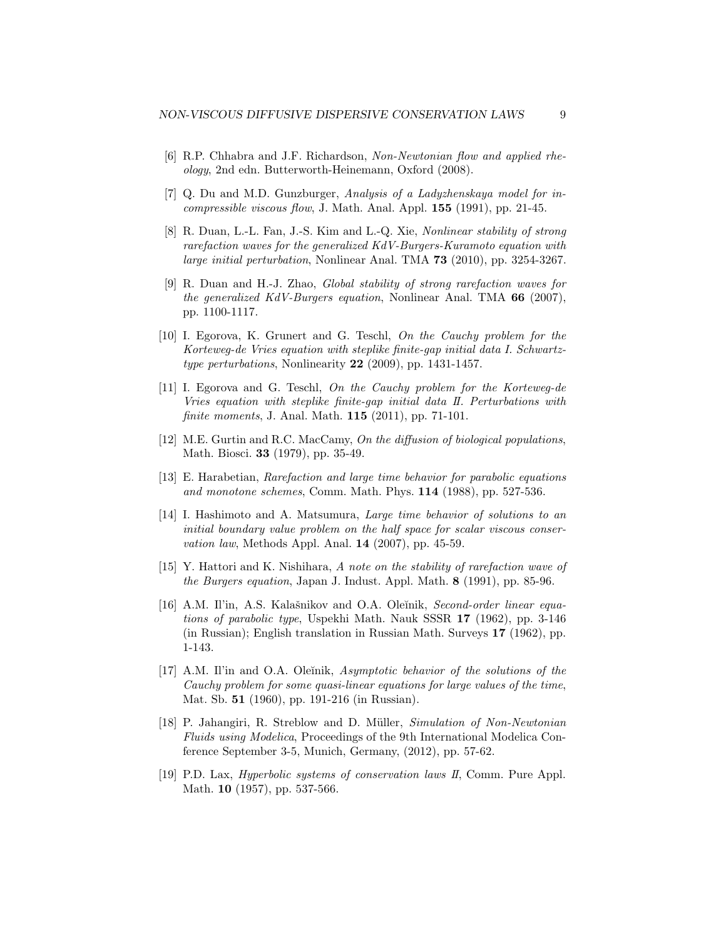- <span id="page-8-9"></span>[6] R.P. Chhabra and J.F. Richardson, Non-Newtonian flow and applied rheology, 2nd edn. Butterworth-Heinemann, Oxford (2008).
- <span id="page-8-0"></span>[7] Q. Du and M.D. Gunzburger, Analysis of a Ladyzhenskaya model for in $compressible$  viscous flow, J. Math. Anal. Appl.  $155$  (1991), pp. 21-45.
- <span id="page-8-13"></span>[8] R. Duan, L.-L. Fan, J.-S. Kim and L.-Q. Xie, Nonlinear stability of strong rarefaction waves for the generalized KdV-Burgers-Kuramoto equation with large initial perturbation, Nonlinear Anal. TMA 73 (2010), pp. 3254-3267.
- <span id="page-8-1"></span>[9] R. Duan and H.-J. Zhao, Global stability of strong rarefaction waves for the generalized KdV-Burgers equation, Nonlinear Anal. TMA  $66$  (2007), pp. 1100-1117.
- <span id="page-8-2"></span>[10] I. Egorova, K. Grunert and G. Teschl, On the Cauchy problem for the Korteweg-de Vries equation with steplike finite-gap initial data I. Schwartztype perturbations, Nonlinearity 22 (2009), pp. 1431-1457.
- <span id="page-8-3"></span>[11] I. Egorova and G. Teschl, On the Cauchy problem for the Korteweg-de Vries equation with steplike finite-gap initial data II. Perturbations with finite moments, J. Anal. Math. 115 (2011), pp. 71-101.
- <span id="page-8-10"></span>[12] M.E. Gurtin and R.C. MacCamy, On the diffusion of biological populations, Math. Biosci. 33 (1979), pp. 35-49.
- <span id="page-8-4"></span>[13] E. Harabetian, Rarefaction and large time behavior for parabolic equations and monotone schemes, Comm. Math. Phys. 114 (1988), pp. 527-536.
- <span id="page-8-5"></span>[14] I. Hashimoto and A. Matsumura, Large time behavior of solutions to an initial boundary value problem on the half space for scalar viscous conser*vation law*, Methods Appl. Anal.  $14$  (2007), pp. 45-59.
- <span id="page-8-6"></span>[15] Y. Hattori and K. Nishihara, A note on the stability of rarefaction wave of the Burgers equation, Japan J. Indust. Appl. Math. 8 (1991), pp. 85-96.
- <span id="page-8-11"></span>[16] A.M. Il'in, A.S. Kalašnikov and O.A. Oleĭnik, Second-order linear equations of parabolic type, Uspekhi Math. Nauk SSSR 17 (1962), pp. 3-146 (in Russian); English translation in Russian Math. Surveys 17 (1962), pp. 1-143.
- <span id="page-8-7"></span>[17] A.M. Il'in and O.A. Oleĭnik, Asymptotic behavior of the solutions of the Cauchy problem for some quasi-linear equations for large values of the time, Mat. Sb. 51 (1960), pp. 191-216 (in Russian).
- <span id="page-8-12"></span>[18] P. Jahangiri, R. Streblow and D. Müller, Simulation of Non-Newtonian Fluids using Modelica, Proceedings of the 9th International Modelica Conference September 3-5, Munich, Germany, (2012), pp. 57-62.
- <span id="page-8-8"></span>[19] P.D. Lax, Hyperbolic systems of conservation laws II, Comm. Pure Appl. Math. 10 (1957), pp. 537-566.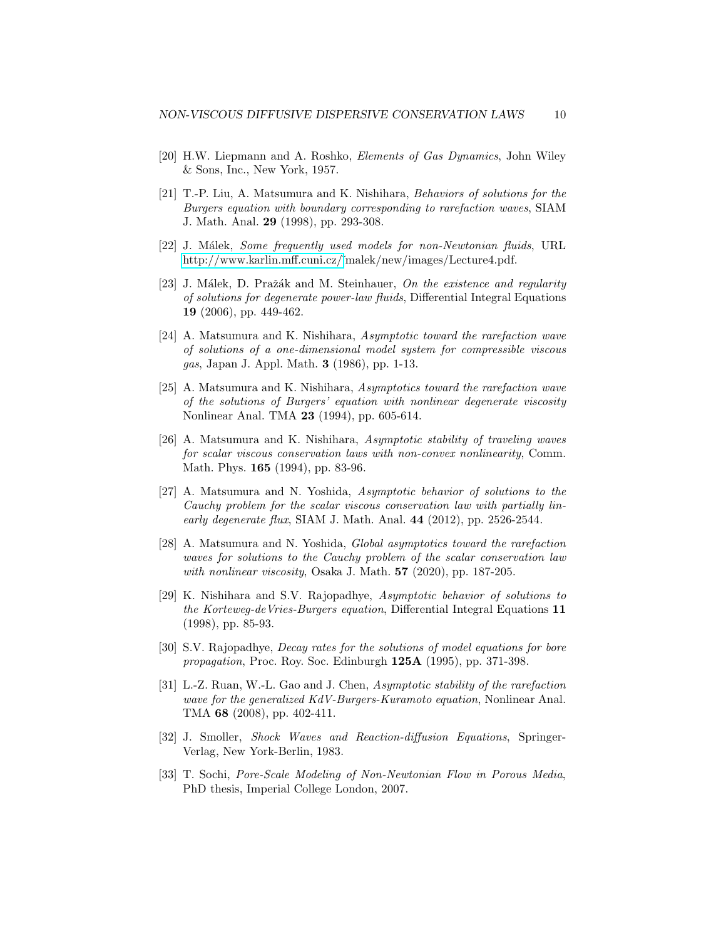- <span id="page-9-8"></span>[20] H.W. Liepmann and A. Roshko, Elements of Gas Dynamics, John Wiley & Sons, Inc., New York, 1957.
- <span id="page-9-0"></span>[21] T.-P. Liu, A. Matsumura and K. Nishihara, Behaviors of solutions for the Burgers equation with boundary corresponding to rarefaction waves, SIAM J. Math. Anal. 29 (1998), pp. 293-308.
- <span id="page-9-9"></span>[22] J. Málek, Some frequently used models for non-Newtonian fluids, URL [http://www.karlin.mff.cuni.cz/˜](http://www.karlin.mff.cuni.cz/)malek/new/images/Lecture4.pdf.
- <span id="page-9-10"></span>[23] J. Málek, D. Pražák and M. Steinhauer, On the existence and regularity of solutions for degenerate power-law fluids, Differential Integral Equations 19 (2006), pp. 449-462.
- <span id="page-9-1"></span>[24] A. Matsumura and K. Nishihara, Asymptotic toward the rarefaction wave of solutions of a one-dimensional model system for compressible viscous gas, Japan J. Appl. Math. 3 (1986), pp. 1-13.
- <span id="page-9-2"></span>[25] A. Matsumura and K. Nishihara, Asymptotics toward the rarefaction wave of the solutions of Burgers' equation with nonlinear degenerate viscosity Nonlinear Anal. TMA 23 (1994), pp. 605-614.
- <span id="page-9-3"></span>[26] A. Matsumura and K. Nishihara, Asymptotic stability of traveling waves for scalar viscous conservation laws with non-convex nonlinearity, Comm. Math. Phys. 165 (1994), pp. 83-96.
- <span id="page-9-4"></span>[27] A. Matsumura and N. Yoshida, Asymptotic behavior of solutions to the Cauchy problem for the scalar viscous conservation law with partially linearly degenerate flux, SIAM J. Math. Anal. 44 (2012), pp. 2526-2544.
- <span id="page-9-5"></span>[28] A. Matsumura and N. Yoshida, Global asymptotics toward the rarefaction waves for solutions to the Cauchy problem of the scalar conservation law with nonlinear viscosity, Osaka J. Math.  $57$  (2020), pp. 187-205.
- <span id="page-9-6"></span>[29] K. Nishihara and S.V. Rajopadhye, Asymptotic behavior of solutions to the Korteweg-deVries-Burgers equation, Differential Integral Equations 11 (1998), pp. 85-93.
- <span id="page-9-7"></span>[30] S.V. Rajopadhye, *Decay rates for the solutions of model equations for bore* propagation, Proc. Roy. Soc. Edinburgh 125A (1995), pp. 371-398.
- <span id="page-9-13"></span>[31] L.-Z. Ruan, W.-L. Gao and J. Chen, Asymptotic stability of the rarefaction wave for the generalized KdV-Burgers-Kuramoto equation, Nonlinear Anal. TMA 68 (2008), pp. 402-411.
- <span id="page-9-11"></span>[32] J. Smoller, Shock Waves and Reaction-diffusion Equations, Springer-Verlag, New York-Berlin, 1983.
- <span id="page-9-12"></span>[33] T. Sochi, Pore-Scale Modeling of Non-Newtonian Flow in Porous Media, PhD thesis, Imperial College London, 2007.